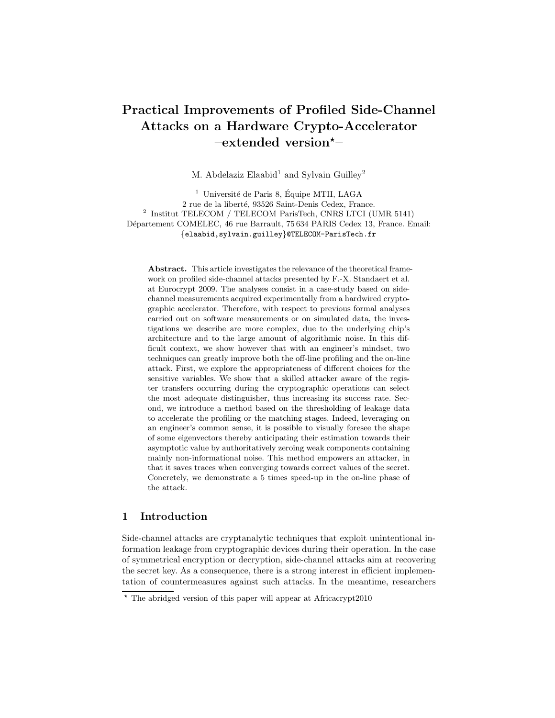# Practical Improvements of Profiled Side-Channel Attacks on a Hardware Crypto-Accelerator  $-$ extended version<sup>\*</sup>

M. Abdelaziz $\operatorname{Elaabid}^1$  and Sylvain  $\operatorname{Guillev}^2$ 

<sup>1</sup> Université de Paris 8, Équipe MTII, LAGA 2 rue de la liberté, 93526 Saint-Denis Cedex, France. 2 Institut TELECOM / TELECOM ParisTech, CNRS LTCI (UMR 5141) D´epartement COMELEC, 46 rue Barrault, 75 634 PARIS Cedex 13, France. Email: {elaabid,sylvain.guilley}@TELECOM-ParisTech.fr

Abstract. This article investigates the relevance of the theoretical framework on profiled side-channel attacks presented by F.-X. Standaert et al. at Eurocrypt 2009. The analyses consist in a case-study based on sidechannel measurements acquired experimentally from a hardwired cryptographic accelerator. Therefore, with respect to previous formal analyses carried out on software measurements or on simulated data, the investigations we describe are more complex, due to the underlying chip's architecture and to the large amount of algorithmic noise. In this difficult context, we show however that with an engineer's mindset, two techniques can greatly improve both the off-line profiling and the on-line attack. First, we explore the appropriateness of different choices for the sensitive variables. We show that a skilled attacker aware of the register transfers occurring during the cryptographic operations can select the most adequate distinguisher, thus increasing its success rate. Second, we introduce a method based on the thresholding of leakage data to accelerate the profiling or the matching stages. Indeed, leveraging on an engineer's common sense, it is possible to visually foresee the shape of some eigenvectors thereby anticipating their estimation towards their asymptotic value by authoritatively zeroing weak components containing mainly non-informational noise. This method empowers an attacker, in that it saves traces when converging towards correct values of the secret. Concretely, we demonstrate a 5 times speed-up in the on-line phase of the attack.

### 1 Introduction

Side-channel attacks are cryptanalytic techniques that exploit unintentional information leakage from cryptographic devices during their operation. In the case of symmetrical encryption or decryption, side-channel attacks aim at recovering the secret key. As a consequence, there is a strong interest in efficient implementation of countermeasures against such attacks. In the meantime, researchers

 $\star$  The abridged version of this paper will appear at Africacrypt2010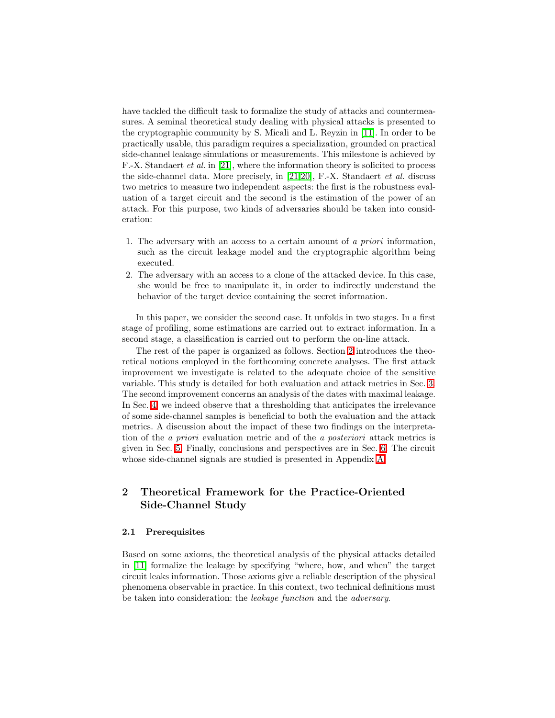have tackled the difficult task to formalize the study of attacks and countermeasures. A seminal theoretical study dealing with physical attacks is presented to the cryptographic community by S. Micali and L. Reyzin in [\[11\]](#page-19-0). In order to be practically usable, this paradigm requires a specialization, grounded on practical side-channel leakage simulations or measurements. This milestone is achieved by F.-X. Standaert et al. in [\[21\]](#page-19-1), where the information theory is solicited to process the side-channel data. More precisely, in [\[21](#page-19-1)[,20\]](#page-19-2), F.-X. Standaert et al. discuss two metrics to measure two independent aspects: the first is the robustness evaluation of a target circuit and the second is the estimation of the power of an attack. For this purpose, two kinds of adversaries should be taken into consideration:

- 1. The adversary with an access to a certain amount of a priori information, such as the circuit leakage model and the cryptographic algorithm being executed.
- 2. The adversary with an access to a clone of the attacked device. In this case, she would be free to manipulate it, in order to indirectly understand the behavior of the target device containing the secret information.

In this paper, we consider the second case. It unfolds in two stages. In a first stage of profiling, some estimations are carried out to extract information. In a second stage, a classification is carried out to perform the on-line attack.

The rest of the paper is organized as follows. Section [2](#page-1-0) introduces the theoretical notions employed in the forthcoming concrete analyses. The first attack improvement we investigate is related to the adequate choice of the sensitive variable. This study is detailed for both evaluation and attack metrics in Sec. [3.](#page-7-0) The second improvement concerns an analysis of the dates with maximal leakage. In Sec. [4,](#page-13-0) we indeed observe that a thresholding that anticipates the irrelevance of some side-channel samples is beneficial to both the evaluation and the attack metrics. A discussion about the impact of these two findings on the interpretation of the a priori evaluation metric and of the a posteriori attack metrics is given in Sec. [5.](#page-15-0) Finally, conclusions and perspectives are in Sec. [6.](#page-16-0) The circuit whose side-channel signals are studied is presented in Appendix [A.](#page-20-0)

# <span id="page-1-0"></span>2 Theoretical Framework for the Practice-Oriented Side-Channel Study

#### 2.1 Prerequisites

Based on some axioms, the theoretical analysis of the physical attacks detailed in [\[11\]](#page-19-0) formalize the leakage by specifying "where, how, and when" the target circuit leaks information. Those axioms give a reliable description of the physical phenomena observable in practice. In this context, two technical definitions must be taken into consideration: the leakage function and the adversary.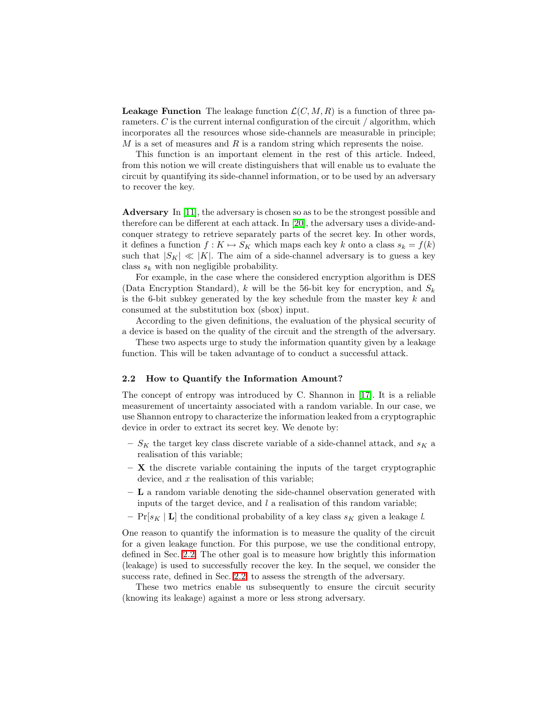**Leakage Function** The leakage function  $\mathcal{L}(C, M, R)$  is a function of three parameters.  $C$  is the current internal configuration of the circuit  $\ell$  algorithm, which incorporates all the resources whose side-channels are measurable in principle;  $M$  is a set of measures and  $R$  is a random string which represents the noise.

This function is an important element in the rest of this article. Indeed, from this notion we will create distinguishers that will enable us to evaluate the circuit by quantifying its side-channel information, or to be used by an adversary to recover the key.

<span id="page-2-0"></span>Adversary In [\[11\]](#page-19-0), the adversary is chosen so as to be the strongest possible and therefore can be different at each attack. In [\[20\]](#page-19-2), the adversary uses a divide-andconquer strategy to retrieve separately parts of the secret key. In other words, it defines a function  $f: K \mapsto S_K$  which maps each key k onto a class  $s_k = f(k)$ such that  $|S_K| \ll |K|$ . The aim of a side-channel adversary is to guess a key class  $s_k$  with non negligible probability.

For example, in the case where the considered encryption algorithm is DES (Data Encryption Standard), k will be the 56-bit key for encryption, and  $S_k$ is the 6-bit subkey generated by the key schedule from the master key  $k$  and consumed at the substitution box (sbox) input.

According to the given definitions, the evaluation of the physical security of a device is based on the quality of the circuit and the strength of the adversary.

These two aspects urge to study the information quantity given by a leakage function. This will be taken advantage of to conduct a successful attack.

#### 2.2 How to Quantify the Information Amount?

The concept of entropy was introduced by C. Shannon in [\[17\]](#page-19-3). It is a reliable measurement of uncertainty associated with a random variable. In our case, we use Shannon entropy to characterize the information leaked from a cryptographic device in order to extract its secret key. We denote by:

- $S_K$  the target key class discrete variable of a side-channel attack, and  $s_K$  a realisation of this variable;
- $X$  the discrete variable containing the inputs of the target cryptographic device, and  $x$  the realisation of this variable;
- $-$  **L** a random variable denoting the side-channel observation generated with inputs of the target device, and  $l$  a realisation of this random variable;
- $\Pr[s_K | L]$  the conditional probability of a key class  $s_K$  given a leakage l.

One reason to quantify the information is to measure the quality of the circuit for a given leakage function. For this purpose, we use the conditional entropy, defined in Sec. [2.2.](#page-3-0) The other goal is to measure how brightly this information (leakage) is used to successfully recover the key. In the sequel, we consider the success rate, defined in Sec. [2.2,](#page-3-1) to assess the strength of the adversary.

These two metrics enable us subsequently to ensure the circuit security (knowing its leakage) against a more or less strong adversary.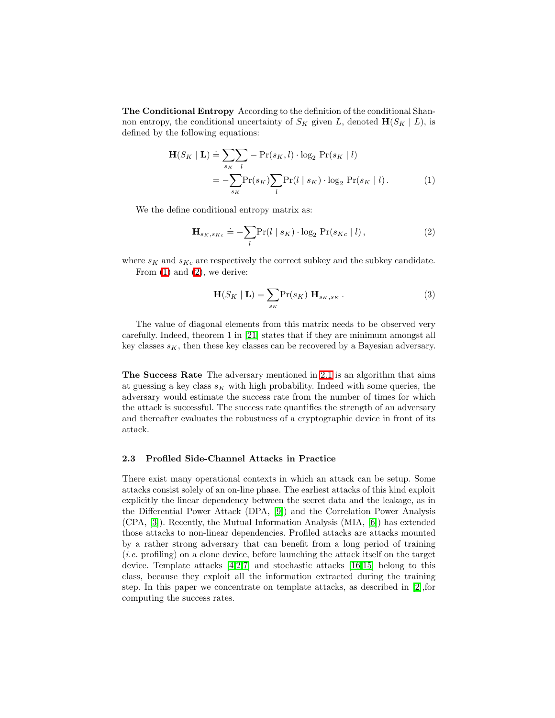<span id="page-3-2"></span><span id="page-3-0"></span>The Conditional Entropy According to the definition of the conditional Shannon entropy, the conditional uncertainty of  $S_K$  given L, denoted  $\mathbf{H}(S_K | L)$ , is defined by the following equations:

$$
\mathbf{H}(S_K \mid \mathbf{L}) \doteq \sum_{s_K} \sum_l -\Pr(s_K, l) \cdot \log_2 \Pr(s_K \mid l)
$$
  
= 
$$
-\sum_{s_K} \Pr(s_K) \sum_l \Pr(l \mid s_K) \cdot \log_2 \Pr(s_K \mid l).
$$
 (1)

We the define conditional entropy matrix as:

<span id="page-3-3"></span>
$$
\mathbf{H}_{s_K, s_{Kc}} \doteq -\sum_{l} \Pr(l \mid s_K) \cdot \log_2 \Pr(s_{Kc} \mid l), \tag{2}
$$

where  $s_K$  and  $s_{Kc}$  are respectively the correct subkey and the subkey candidate. From  $(1)$  and  $(2)$ , we derive:

$$
\mathbf{H}(S_K \mid \mathbf{L}) = \sum_{s_K} \Pr(s_K) \; \mathbf{H}_{s_K, s_K} \,. \tag{3}
$$

The value of diagonal elements from this matrix needs to be observed very carefully. Indeed, theorem 1 in [\[21\]](#page-19-1) states that if they are minimum amongst all key classes  $s_K$ , then these key classes can be recovered by a Bayesian adversary.

<span id="page-3-1"></span>The Success Rate The adversary mentioned in [2.1](#page-2-0) is an algorithm that aims at guessing a key class  $s_K$  with high probability. Indeed with some queries, the adversary would estimate the success rate from the number of times for which the attack is successful. The success rate quantifies the strength of an adversary and thereafter evaluates the robustness of a cryptographic device in front of its attack.

#### 2.3 Profiled Side-Channel Attacks in Practice

There exist many operational contexts in which an attack can be setup. Some attacks consist solely of an on-line phase. The earliest attacks of this kind exploit explicitly the linear dependency between the secret data and the leakage, as in the Differential Power Attack (DPA, [\[9\]](#page-19-4)) and the Correlation Power Analysis (CPA, [\[3\]](#page-18-0)). Recently, the Mutual Information Analysis (MIA, [\[6\]](#page-18-1)) has extended those attacks to non-linear dependencies. Profiled attacks are attacks mounted by a rather strong adversary that can benefit from a long period of training (i.e. profiling) on a clone device, before launching the attack itself on the target device. Template attacks [\[4,](#page-18-2)[2](#page-18-3)[,7\]](#page-19-5) and stochastic attacks [\[16,](#page-19-6)[15\]](#page-19-7) belong to this class, because they exploit all the information extracted during the training step. In this paper we concentrate on template attacks, as described in [\[2\]](#page-18-3),for computing the success rates.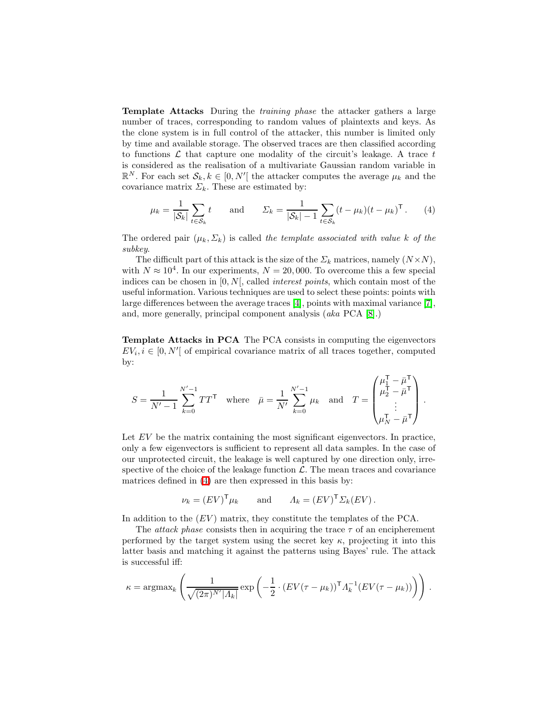Template Attacks During the training phase the attacker gathers a large number of traces, corresponding to random values of plaintexts and keys. As the clone system is in full control of the attacker, this number is limited only by time and available storage. The observed traces are then classified according to functions  $\mathcal L$  that capture one modality of the circuit's leakage. A trace  $t$ is considered as the realisation of a multivariate Gaussian random variable in  $\mathbb{R}^N$ . For each set  $\mathcal{S}_k, k \in [0, N']$  the attacker computes the average  $\mu_k$  and the covariance matrix  $\Sigma_k$ . These are estimated by:

<span id="page-4-0"></span>
$$
\mu_k = \frac{1}{|\mathcal{S}_k|} \sum_{t \in \mathcal{S}_k} t \quad \text{and} \quad \Sigma_k = \frac{1}{|\mathcal{S}_k| - 1} \sum_{t \in \mathcal{S}_k} (t - \mu_k)(t - \mu_k)^{\mathsf{T}}.
$$
 (4)

The ordered pair  $(\mu_k, \Sigma_k)$  is called the template associated with value k of the subkey.

The difficult part of this attack is the size of the  $\Sigma_k$  matrices, namely  $(N \times N)$ , with  $N \approx 10^4$ . In our experiments,  $N = 20,000$ . To overcome this a few special indices can be chosen in  $[0, N]$ , called *interest points*, which contain most of the useful information. Various techniques are used to select these points: points with large differences between the average traces [\[4\]](#page-18-2), points with maximal variance [\[7\]](#page-19-5), and, more generally, principal component analysis (aka PCA [\[8\]](#page-19-8).)

Template Attacks in PCA The PCA consists in computing the eigenvectors  $EV_i, i \in [0, N']$  of empirical covariance matrix of all traces together, computed by:

$$
S = \frac{1}{N'-1}\sum_{k=0}^{N'-1}TT^{\mathsf{T}} \quad \text{where} \quad \bar{\mu} = \frac{1}{N'}\sum_{k=0}^{N'-1}\mu_k \quad \text{and} \quad T = \begin{pmatrix} \mu_1^{\mathsf{T}}-\bar{\mu}^{\mathsf{T}} \\ \mu_2^{\mathsf{T}}-\bar{\mu}^{\mathsf{T}} \\ \vdots \\ \mu_N^{\mathsf{T}}-\bar{\mu}^{\mathsf{T}} \end{pmatrix} \,.
$$

Let  $EV$  be the matrix containing the most significant eigenvectors. In practice, only a few eigenvectors is sufficient to represent all data samples. In the case of our unprotected circuit, the leakage is well captured by one direction only, irrespective of the choice of the leakage function  $\mathcal{L}$ . The mean traces and covariance matrices defined in [\(4\)](#page-4-0) are then expressed in this basis by:

$$
\nu_k = (EV)^{\mathsf{T}} \mu_k \quad \text{and} \quad \Lambda_k = (EV)^{\mathsf{T}} \Sigma_k (EV).
$$

In addition to the  $(EV)$  matrix, they constitute the templates of the PCA.

The *attack phase* consists then in acquiring the trace  $\tau$  of an encipherement performed by the target system using the secret key  $\kappa$ , projecting it into this latter basis and matching it against the patterns using Bayes' rule. The attack is successful iff:

$$
\kappa = \operatorname{argmax}_{k} \left( \frac{1}{\sqrt{(2\pi)^{N'} | \Lambda_k |}} \exp \left( -\frac{1}{2} \cdot (EV(\tau - \mu_k))^{\mathsf{T}} \Lambda_k^{-1} (EV(\tau - \mu_k)) \right) \right).
$$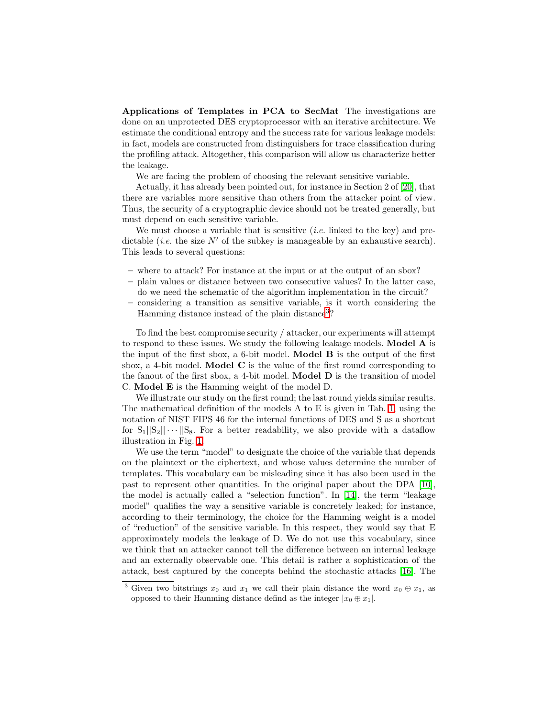Applications of Templates in PCA to SecMat The investigations are done on an unprotected DES cryptoprocessor with an iterative architecture. We estimate the conditional entropy and the success rate for various leakage models: in fact, models are constructed from distinguishers for trace classification during the profiling attack. Altogether, this comparison will allow us characterize better the leakage.

We are facing the problem of choosing the relevant sensitive variable.

Actually, it has already been pointed out, for instance in Section 2 of [\[20\]](#page-19-2), that there are variables more sensitive than others from the attacker point of view. Thus, the security of a cryptographic device should not be treated generally, but must depend on each sensitive variable.

We must choose a variable that is sensitive  $(i.e.$  linked to the key) and predictable (*i.e.* the size  $N'$  of the subkey is manageable by an exhaustive search). This leads to several questions:

- where to attack? For instance at the input or at the output of an sbox?
- plain values or distance between two consecutive values? In the latter case, do we need the schematic of the algorithm implementation in the circuit?
- considering a transition as sensitive variable, is it worth considering the Hamming distance instead of the plain distance<sup>[3](#page-5-0)</sup>?

To find the best compromise security / attacker, our experiments will attempt to respond to these issues. We study the following leakage models. Model A is the input of the first sbox, a 6-bit model. Model B is the output of the first sbox, a 4-bit model. **Model C** is the value of the first round corresponding to the fanout of the first sbox, a 4-bit model. Model D is the transition of model C. Model E is the Hamming weight of the model D.

We illustrate our study on the first round; the last round yields similar results. The mathematical definition of the models A to E is given in Tab. [1,](#page-6-0) using the notation of NIST FIPS 46 for the internal functions of DES and S as a shortcut for  $S_1||S_2|| \cdots ||S_8$ . For a better readability, we also provide with a dataflow illustration in Fig. [1.](#page-6-1)

We use the term "model" to designate the choice of the variable that depends on the plaintext or the ciphertext, and whose values determine the number of templates. This vocabulary can be misleading since it has also been used in the past to represent other quantities. In the original paper about the DPA [\[10\]](#page-19-9), the model is actually called a "selection function". In [\[14\]](#page-19-10), the term "leakage model" qualifies the way a sensitive variable is concretely leaked; for instance, according to their terminology, the choice for the Hamming weight is a model of "reduction" of the sensitive variable. In this respect, they would say that E approximately models the leakage of D. We do not use this vocabulary, since we think that an attacker cannot tell the difference between an internal leakage and an externally observable one. This detail is rather a sophistication of the attack, best captured by the concepts behind the stochastic attacks [\[16\]](#page-19-6). The

<span id="page-5-0"></span><sup>&</sup>lt;sup>3</sup> Given two bitstrings  $x_0$  and  $x_1$  we call their plain distance the word  $x_0 \oplus x_1$ , as opposed to their Hamming distance defind as the integer  $|x_0 \oplus x_1|$ .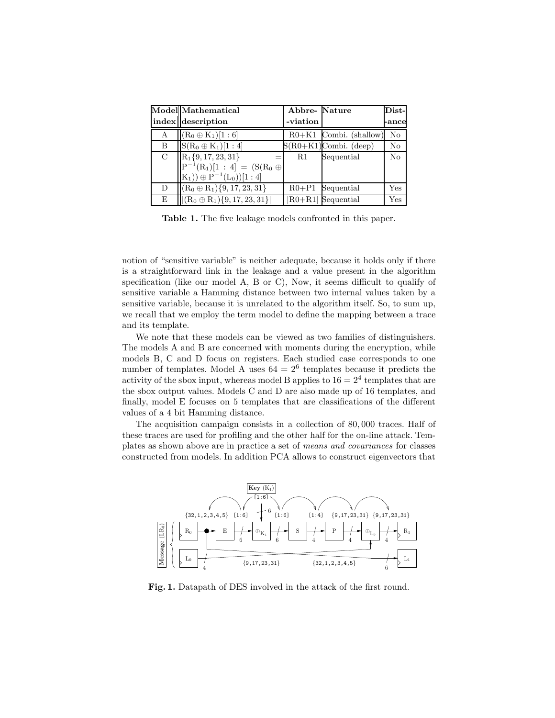|               | Model Mathematical                         | Abbre-Nature |                          | Dist-          |
|---------------|--------------------------------------------|--------------|--------------------------|----------------|
|               | index description                          | -viation     |                          | -ance          |
| А             | $[(R_0 \oplus K_1)[1:6]$                   |              | $R0+K1$ Combi. (shallow) | No             |
| B             | $S(R_0 \oplus K_1)[1:4]$                   |              | $S(R0+K1)$ Combi. (deep) | $\rm No$       |
| $\mathcal{C}$ | $\overline{R_1} \{9, 17, 23, 31\}$         | R1           | Sequential               | N <sub>o</sub> |
|               | $P^{-1}(R_1)[1:4] = (S(R_0 \oplus$         |              |                          |                |
|               | $(K_1)) \oplus P^{-1}(L_0)$ [1 : 4]        |              |                          |                |
| D             | $ (R_0 \oplus R_1) \{9, 17, 23, 31\}$      |              | $R0+P1$ Sequential       | Yes            |
| E             | $  [(R_0 \oplus R_1) \{9, 17, 23, 31\}]  $ |              | $ R0+R1 $ Sequential     | Yes            |

<span id="page-6-0"></span>Table 1. The five leakage models confronted in this paper.

notion of "sensitive variable" is neither adequate, because it holds only if there is a straightforward link in the leakage and a value present in the algorithm specification (like our model A, B or C), Now, it seems difficult to qualify of sensitive variable a Hamming distance between two internal values taken by a sensitive variable, because it is unrelated to the algorithm itself. So, to sum up, we recall that we employ the term model to define the mapping between a trace and its template.

We note that these models can be viewed as two families of distinguishers. The models A and B are concerned with moments during the encryption, while models B, C and D focus on registers. Each studied case corresponds to one number of templates. Model A uses  $64 = 2^6$  templates because it predicts the activity of the sbox input, whereas model B applies to  $16 = 2<sup>4</sup>$  templates that are the sbox output values. Models C and D are also made up of 16 templates, and finally, model E focuses on 5 templates that are classifications of the different values of a 4 bit Hamming distance.

The acquisition campaign consists in a collection of 80, 000 traces. Half of these traces are used for profiling and the other half for the on-line attack. Templates as shown above are in practice a set of means and covariances for classes constructed from models. In addition PCA allows to construct eigenvectors that



<span id="page-6-1"></span>Fig. 1. Datapath of DES involved in the attack of the first round.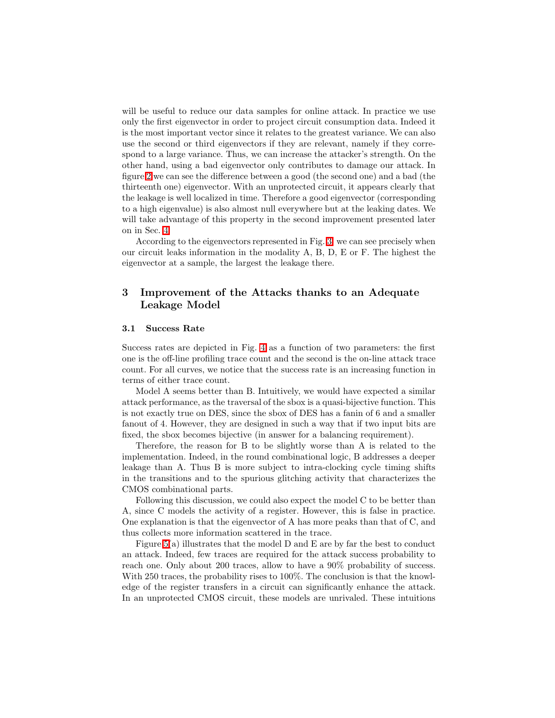will be useful to reduce our data samples for online attack. In practice we use only the first eigenvector in order to project circuit consumption data. Indeed it is the most important vector since it relates to the greatest variance. We can also use the second or third eigenvectors if they are relevant, namely if they correspond to a large variance. Thus, we can increase the attacker's strength. On the other hand, using a bad eigenvector only contributes to damage our attack. In figure [2](#page-8-0) we can see the difference between a good (the second one) and a bad (the thirteenth one) eigenvector. With an unprotected circuit, it appears clearly that the leakage is well localized in time. Therefore a good eigenvector (corresponding to a high eigenvalue) is also almost null everywhere but at the leaking dates. We will take advantage of this property in the second improvement presented later on in Sec. [4.](#page-13-0)

According to the eigenvectors represented in Fig. [3,](#page-8-1) we can see precisely when our circuit leaks information in the modality A, B, D, E or F. The highest the eigenvector at a sample, the largest the leakage there.

# <span id="page-7-0"></span>3 Improvement of the Attacks thanks to an Adequate Leakage Model

#### 3.1 Success Rate

Success rates are depicted in Fig. [4](#page-9-0) as a function of two parameters: the first one is the off-line profiling trace count and the second is the on-line attack trace count. For all curves, we notice that the success rate is an increasing function in terms of either trace count.

Model A seems better than B. Intuitively, we would have expected a similar attack performance, as the traversal of the sbox is a quasi-bijective function. This is not exactly true on DES, since the sbox of DES has a fanin of 6 and a smaller fanout of 4. However, they are designed in such a way that if two input bits are fixed, the sbox becomes bijective (in answer for a balancing requirement).

Therefore, the reason for B to be slightly worse than A is related to the implementation. Indeed, in the round combinational logic, B addresses a deeper leakage than A. Thus B is more subject to intra-clocking cycle timing shifts in the transitions and to the spurious glitching activity that characterizes the CMOS combinational parts.

Following this discussion, we could also expect the model C to be better than A, since C models the activity of a register. However, this is false in practice. One explanation is that the eigenvector of A has more peaks than that of C, and thus collects more information scattered in the trace.

Figure [5\(](#page-10-0)a) illustrates that the model D and E are by far the best to conduct an attack. Indeed, few traces are required for the attack success probability to reach one. Only about 200 traces, allow to have a 90% probability of success. With 250 traces, the probability rises to 100%. The conclusion is that the knowledge of the register transfers in a circuit can significantly enhance the attack. In an unprotected CMOS circuit, these models are unrivaled. These intuitions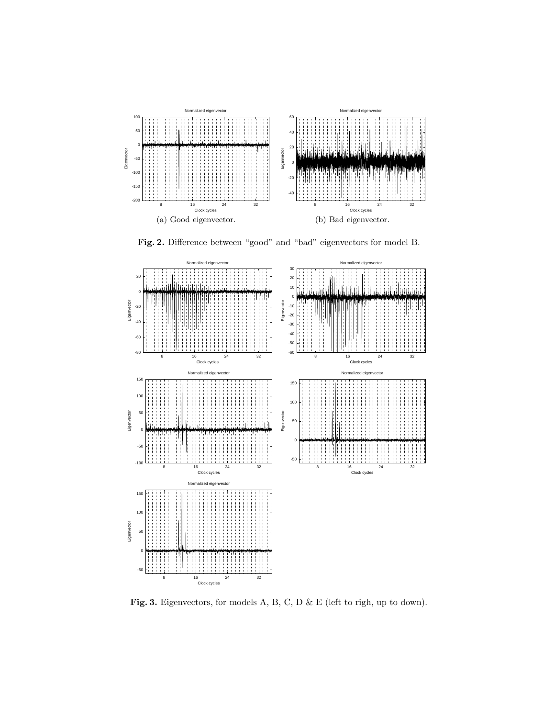

Fig. 2. Difference between "good" and "bad" eigenvectors for model B.

<span id="page-8-0"></span>

<span id="page-8-1"></span>Fig. 3. Eigenvectors, for models A, B, C, D & E (left to righ, up to down).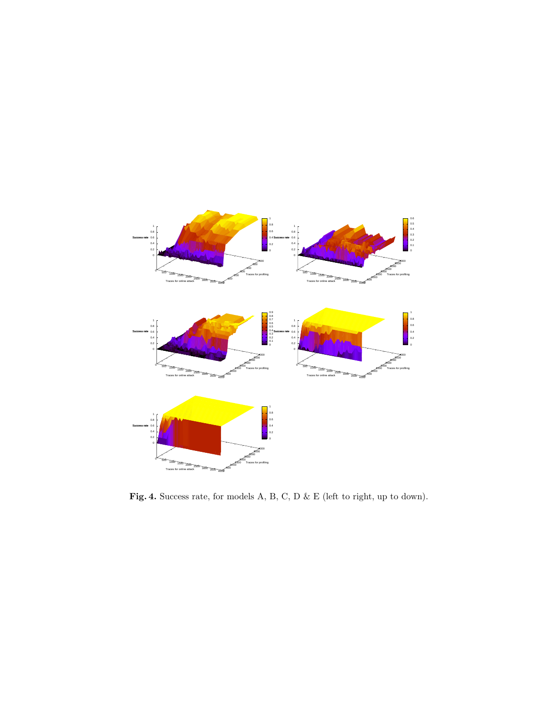

<span id="page-9-0"></span>Fig. 4. Success rate, for models A, B, C, D & E (left to right, up to down).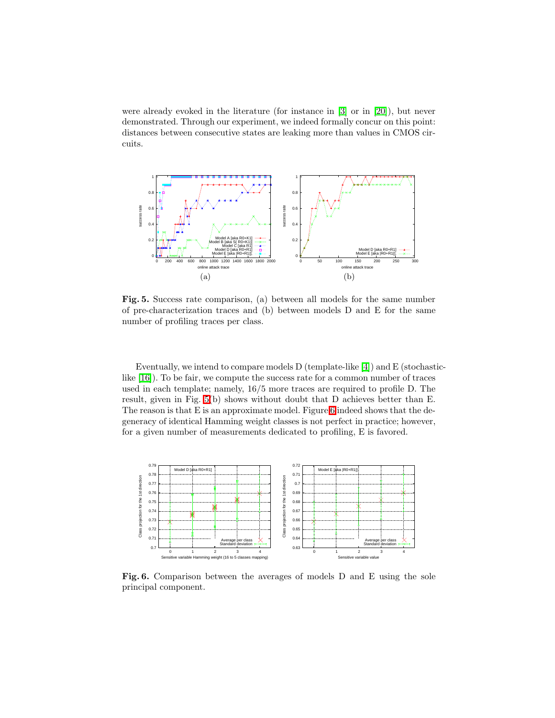were already evoked in the literature (for instance in [\[3\]](#page-18-0) or in [\[20\]](#page-19-2)), but never demonstrated. Through our experiment, we indeed formally concur on this point: distances between consecutive states are leaking more than values in CMOS circuits.



<span id="page-10-0"></span>Fig. 5. Success rate comparison, (a) between all models for the same number of pre-characterization traces and (b) between models D and E for the same number of profiling traces per class.

Eventually, we intend to compare models D (template-like [\[4\]](#page-18-2)) and E (stochasticlike [\[16\]](#page-19-6)). To be fair, we compute the success rate for a common number of traces used in each template; namely, 16/5 more traces are required to profile D. The result, given in Fig. [5\(](#page-10-0)b) shows without doubt that D achieves better than E. The reason is that E is an approximate model. Figure [6](#page-10-1) indeed shows that the degeneracy of identical Hamming weight classes is not perfect in practice; however, for a given number of measurements dedicated to profiling, E is favored.



<span id="page-10-1"></span>Fig. 6. Comparison between the averages of models D and E using the sole principal component.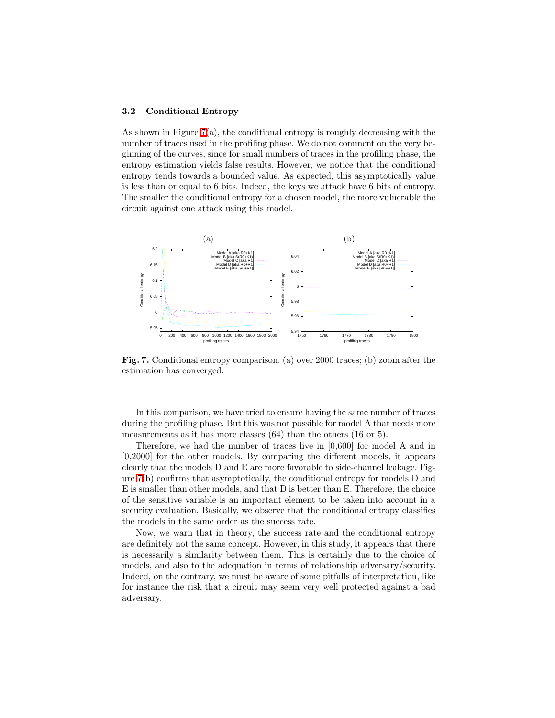#### 3.2 Conditional Entropy

As shown in Figure [7\(](#page-11-0)a), the conditional entropy is roughly decreasing with the number of traces used in the profiling phase. We do not comment on the very beginning of the curves, since for small numbers of traces in the profiling phase, the entropy estimation yields false results. However, we notice that the conditional entropy tends towards a bounded value. As expected, this asymptotically value is less than or equal to 6 bits. Indeed, the keys we attack have 6 bits of entropy. The smaller the conditional entropy for a chosen model, the more vulnerable the circuit against one attack using this model.



<span id="page-11-0"></span>Fig. 7. Conditional entropy comparison. (a) over 2000 traces; (b) zoom after the estimation has converged.

In this comparison, we have tried to ensure having the same number of traces during the profiling phase. But this was not possible for model A that needs more measurements as it has more classes (64) than the others (16 or 5).

Therefore, we had the number of traces live in [0,600] for model A and in [0,2000] for the other models. By comparing the different models, it appears clearly that the models D and E are more favorable to side-channel leakage. Figure [7\(](#page-11-0)b) confirms that asymptotically, the conditional entropy for models D and E is smaller than other models, and that D is better than E. Therefore, the choice of the sensitive variable is an important element to be taken into account in a security evaluation. Basically, we observe that the conditional entropy classifies the models in the same order as the success rate.

Now, we warn that in theory, the success rate and the conditional entropy are definitely not the same concept. However, in this study, it appears that there is necessarily a similarity between them. This is certainly due to the choice of models, and also to the adequation in terms of relationship adversary/security. Indeed, on the contrary, we must be aware of some pitfalls of interpretation, like for instance the risk that a circuit may seem very well protected against a bad adversary.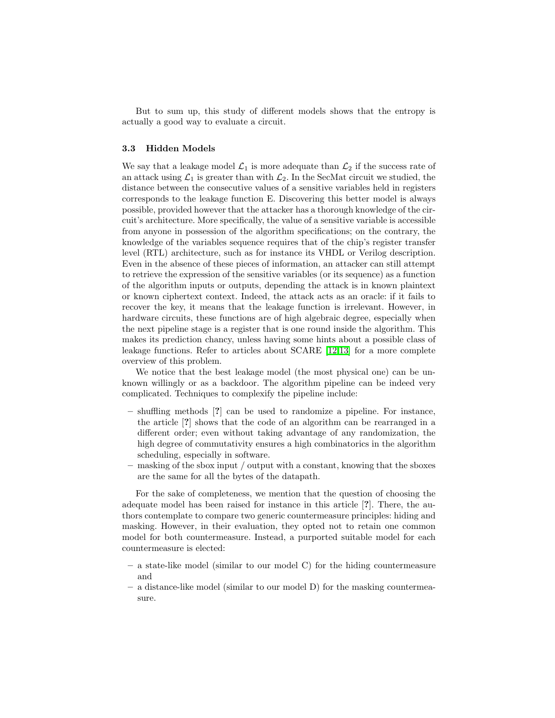But to sum up, this study of different models shows that the entropy is actually a good way to evaluate a circuit.

#### 3.3 Hidden Models

We say that a leakage model  $\mathcal{L}_1$  is more adequate than  $\mathcal{L}_2$  if the success rate of an attack using  $\mathcal{L}_1$  is greater than with  $\mathcal{L}_2$ . In the SecMat circuit we studied, the distance between the consecutive values of a sensitive variables held in registers corresponds to the leakage function E. Discovering this better model is always possible, provided however that the attacker has a thorough knowledge of the circuit's architecture. More specifically, the value of a sensitive variable is accessible from anyone in possession of the algorithm specifications; on the contrary, the knowledge of the variables sequence requires that of the chip's register transfer level (RTL) architecture, such as for instance its VHDL or Verilog description. Even in the absence of these pieces of information, an attacker can still attempt to retrieve the expression of the sensitive variables (or its sequence) as a function of the algorithm inputs or outputs, depending the attack is in known plaintext or known ciphertext context. Indeed, the attack acts as an oracle: if it fails to recover the key, it means that the leakage function is irrelevant. However, in hardware circuits, these functions are of high algebraic degree, especially when the next pipeline stage is a register that is one round inside the algorithm. This makes its prediction chancy, unless having some hints about a possible class of leakage functions. Refer to articles about SCARE [\[12,](#page-19-11)[13\]](#page-19-12) for a more complete overview of this problem.

We notice that the best leakage model (the most physical one) can be unknown willingly or as a backdoor. The algorithm pipeline can be indeed very complicated. Techniques to complexify the pipeline include:

- shuffling methods [?] can be used to randomize a pipeline. For instance, the article [?] shows that the code of an algorithm can be rearranged in a different order; even without taking advantage of any randomization, the high degree of commutativity ensures a high combinatorics in the algorithm scheduling, especially in software.
- masking of the sbox input / output with a constant, knowing that the sboxes are the same for all the bytes of the datapath.

For the sake of completeness, we mention that the question of choosing the adequate model has been raised for instance in this article [?]. There, the authors contemplate to compare two generic countermeasure principles: hiding and masking. However, in their evaluation, they opted not to retain one common model for both countermeasure. Instead, a purported suitable model for each countermeasure is elected:

- a state-like model (similar to our model C) for the hiding countermeasure and
- a distance-like model (similar to our model D) for the masking countermeasure.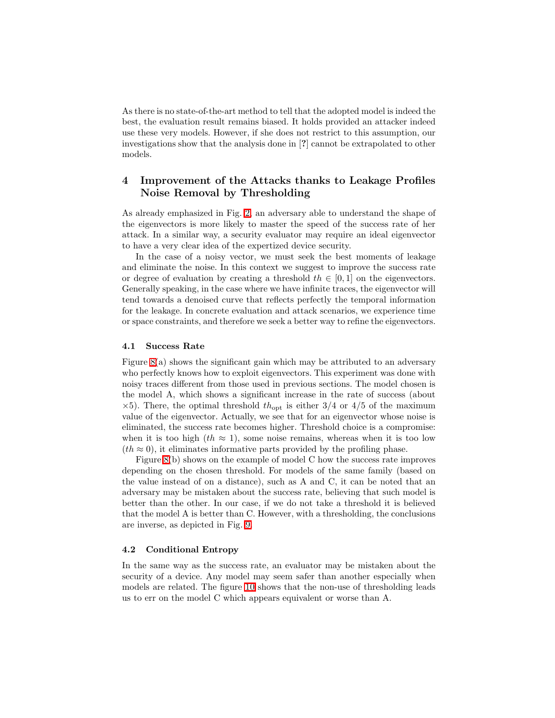As there is no state-of-the-art method to tell that the adopted model is indeed the best, the evaluation result remains biased. It holds provided an attacker indeed use these very models. However, if she does not restrict to this assumption, our investigations show that the analysis done in [?] cannot be extrapolated to other models.

# <span id="page-13-0"></span>4 Improvement of the Attacks thanks to Leakage Profiles Noise Removal by Thresholding

As already emphasized in Fig. [2,](#page-8-0) an adversary able to understand the shape of the eigenvectors is more likely to master the speed of the success rate of her attack. In a similar way, a security evaluator may require an ideal eigenvector to have a very clear idea of the expertized device security.

In the case of a noisy vector, we must seek the best moments of leakage and eliminate the noise. In this context we suggest to improve the success rate or degree of evaluation by creating a threshold  $th \in [0,1]$  on the eigenvectors. Generally speaking, in the case where we have infinite traces, the eigenvector will tend towards a denoised curve that reflects perfectly the temporal information for the leakage. In concrete evaluation and attack scenarios, we experience time or space constraints, and therefore we seek a better way to refine the eigenvectors.

#### 4.1 Success Rate

Figure  $8(a)$  shows the significant gain which may be attributed to an adversary who perfectly knows how to exploit eigenvectors. This experiment was done with noisy traces different from those used in previous sections. The model chosen is the model A, which shows a significant increase in the rate of success (about  $\times$ 5). There, the optimal threshold th<sub>opt</sub> is either 3/4 or 4/5 of the maximum value of the eigenvector. Actually, we see that for an eigenvector whose noise is eliminated, the success rate becomes higher. Threshold choice is a compromise: when it is too high  $(th \approx 1)$ , some noise remains, whereas when it is too low  $(th \approx 0)$ , it eliminates informative parts provided by the profiling phase.

Figure [8\(](#page-14-0)b) shows on the example of model C how the success rate improves depending on the chosen threshold. For models of the same family (based on the value instead of on a distance), such as A and C, it can be noted that an adversary may be mistaken about the success rate, believing that such model is better than the other. In our case, if we do not take a threshold it is believed that the model A is better than C. However, with a thresholding, the conclusions are inverse, as depicted in Fig. [9.](#page-14-1)

#### 4.2 Conditional Entropy

In the same way as the success rate, an evaluator may be mistaken about the security of a device. Any model may seem safer than another especially when models are related. The figure [10](#page-14-2) shows that the non-use of thresholding leads us to err on the model C which appears equivalent or worse than A.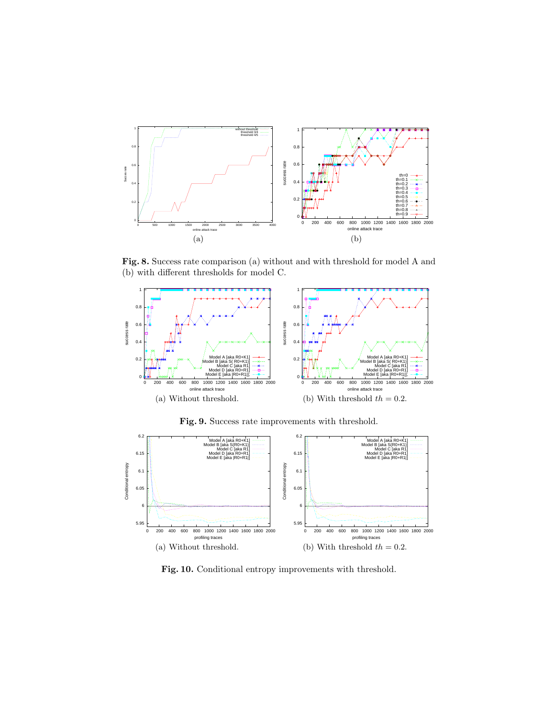

Fig. 8. Success rate comparison (a) without and with threshold for model A and (b) with different thresholds for model C.

<span id="page-14-0"></span>

Fig. 9. Success rate improvements with threshold.

<span id="page-14-1"></span>

<span id="page-14-2"></span>Fig. 10. Conditional entropy improvements with threshold.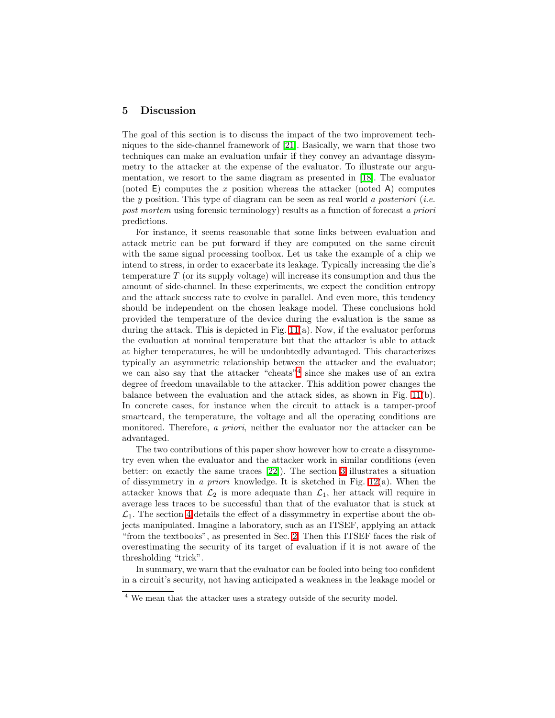### <span id="page-15-0"></span>5 Discussion

The goal of this section is to discuss the impact of the two improvement techniques to the side-channel framework of [\[21\]](#page-19-1). Basically, we warn that those two techniques can make an evaluation unfair if they convey an advantage dissymmetry to the attacker at the expense of the evaluator. To illustrate our argumentation, we resort to the same diagram as presented in [\[18\]](#page-19-13). The evaluator (noted  $E$ ) computes the x position whereas the attacker (noted A) computes the y position. This type of diagram can be seen as real world a posteriori (i.e. post mortem using forensic terminology) results as a function of forecast a priori predictions.

For instance, it seems reasonable that some links between evaluation and attack metric can be put forward if they are computed on the same circuit with the same signal processing toolbox. Let us take the example of a chip we intend to stress, in order to exacerbate its leakage. Typically increasing the die's temperature T (or its supply voltage) will increase its consumption and thus the amount of side-channel. In these experiments, we expect the condition entropy and the attack success rate to evolve in parallel. And even more, this tendency should be independent on the chosen leakage model. These conclusions hold provided the temperature of the device during the evaluation is the same as during the attack. This is depicted in Fig.  $11(a)$ . Now, if the evaluator performs the evaluation at nominal temperature but that the attacker is able to attack at higher temperatures, he will be undoubtedly advantaged. This characterizes typically an asymmetric relationship between the attacker and the evaluator; we can also say that the attacker "cheats"[4](#page-15-1) since she makes use of an extra degree of freedom unavailable to the attacker. This addition power changes the balance between the evaluation and the attack sides, as shown in Fig. [11\(](#page-16-1)b). In concrete cases, for instance when the circuit to attack is a tamper-proof smartcard, the temperature, the voltage and all the operating conditions are monitored. Therefore, a priori, neither the evaluator nor the attacker can be advantaged.

The two contributions of this paper show however how to create a dissymmetry even when the evaluator and the attacker work in similar conditions (even better: on exactly the same traces [\[22\]](#page-19-14)). The section [3](#page-7-0) illustrates a situation of dissymmetry in a priori knowledge. It is sketched in Fig.  $12(a)$ . When the attacker knows that  $\mathcal{L}_2$  is more adequate than  $\mathcal{L}_1$ , her attack will require in average less traces to be successful than that of the evaluator that is stuck at  $\mathcal{L}_1$ . The section [4](#page-13-0) details the effect of a dissymmetry in expertise about the objects manipulated. Imagine a laboratory, such as an ITSEF, applying an attack "from the textbooks", as presented in Sec. [2.](#page-1-0) Then this ITSEF faces the risk of overestimating the security of its target of evaluation if it is not aware of the thresholding "trick".

In summary, we warn that the evaluator can be fooled into being too confident in a circuit's security, not having anticipated a weakness in the leakage model or

<span id="page-15-1"></span><sup>4</sup> We mean that the attacker uses a strategy outside of the security model.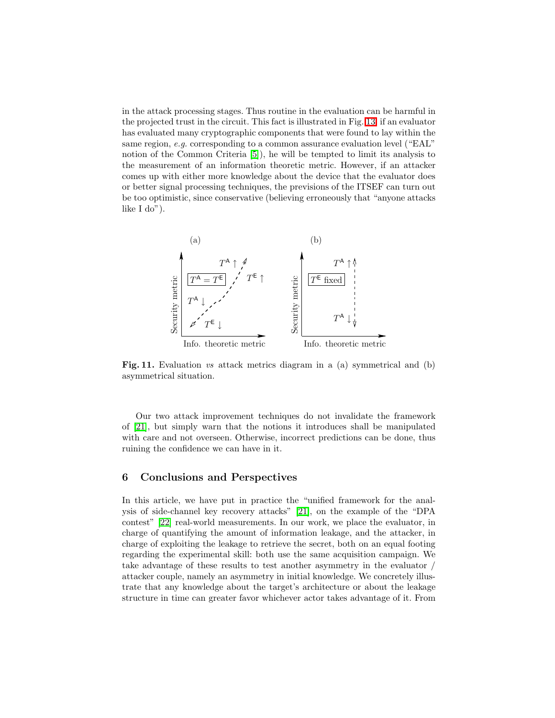in the attack processing stages. Thus routine in the evaluation can be harmful in the projected trust in the circuit. This fact is illustrated in Fig. [13;](#page-17-1) if an evaluator has evaluated many cryptographic components that were found to lay within the same region, e.g. corresponding to a common assurance evaluation level ("EAL" notion of the Common Criteria [\[5\]](#page-18-4)), he will be tempted to limit its analysis to the measurement of an information theoretic metric. However, if an attacker comes up with either more knowledge about the device that the evaluator does or better signal processing techniques, the previsions of the ITSEF can turn out be too optimistic, since conservative (believing erroneously that "anyone attacks like I do").



<span id="page-16-1"></span>Fig. 11. Evaluation vs attack metrics diagram in a (a) symmetrical and (b) asymmetrical situation.

Our two attack improvement techniques do not invalidate the framework of [\[21\]](#page-19-1), but simply warn that the notions it introduces shall be manipulated with care and not overseen. Otherwise, incorrect predictions can be done, thus ruining the confidence we can have in it.

### <span id="page-16-0"></span>6 Conclusions and Perspectives

In this article, we have put in practice the "unified framework for the analysis of side-channel key recovery attacks" [\[21\]](#page-19-1), on the example of the "DPA contest" [\[22\]](#page-19-14) real-world measurements. In our work, we place the evaluator, in charge of quantifying the amount of information leakage, and the attacker, in charge of exploiting the leakage to retrieve the secret, both on an equal footing regarding the experimental skill: both use the same acquisition campaign. We take advantage of these results to test another asymmetry in the evaluator / attacker couple, namely an asymmetry in initial knowledge. We concretely illustrate that any knowledge about the target's architecture or about the leakage structure in time can greater favor whichever actor takes advantage of it. From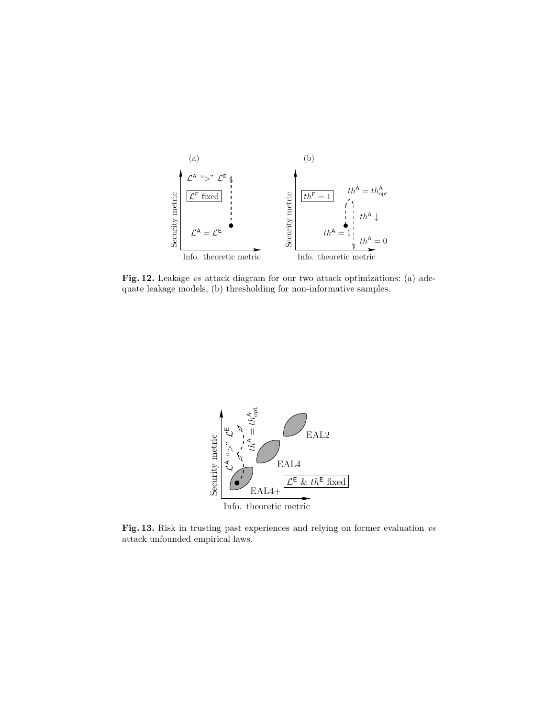

<span id="page-17-0"></span>Fig. 12. Leakage vs attack diagram for our two attack optimizations: (a) adequate leakage models, (b) thresholding for non-informative samples.



<span id="page-17-1"></span>Fig. 13. Risk in trusting past experiences and relying on former evaluation vs attack unfounded empirical laws.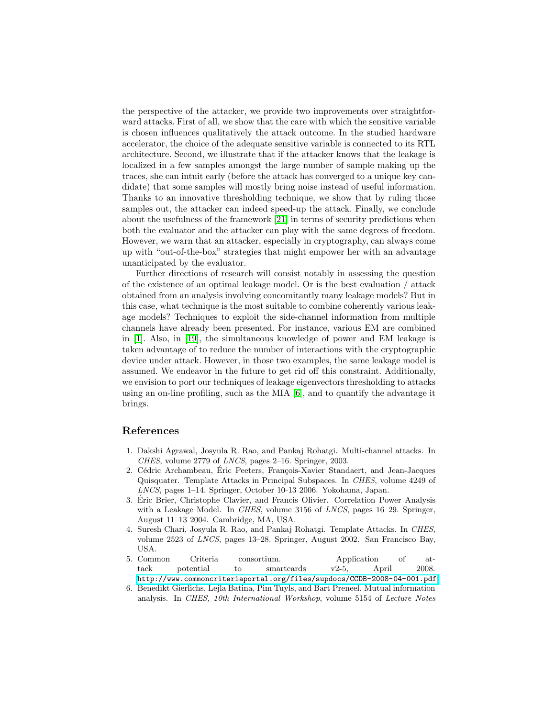the perspective of the attacker, we provide two improvements over straightforward attacks. First of all, we show that the care with which the sensitive variable is chosen influences qualitatively the attack outcome. In the studied hardware accelerator, the choice of the adequate sensitive variable is connected to its RTL architecture. Second, we illustrate that if the attacker knows that the leakage is localized in a few samples amongst the large number of sample making up the traces, she can intuit early (before the attack has converged to a unique key candidate) that some samples will mostly bring noise instead of useful information. Thanks to an innovative thresholding technique, we show that by ruling those samples out, the attacker can indeed speed-up the attack. Finally, we conclude about the usefulness of the framework [\[21\]](#page-19-1) in terms of security predictions when both the evaluator and the attacker can play with the same degrees of freedom. However, we warn that an attacker, especially in cryptography, can always come up with "out-of-the-box" strategies that might empower her with an advantage unanticipated by the evaluator.

Further directions of research will consist notably in assessing the question of the existence of an optimal leakage model. Or is the best evaluation / attack obtained from an analysis involving concomitantly many leakage models? But in this case, what technique is the most suitable to combine coherently various leakage models? Techniques to exploit the side-channel information from multiple channels have already been presented. For instance, various EM are combined in [\[1\]](#page-18-5). Also, in [\[19\]](#page-19-15), the simultaneous knowledge of power and EM leakage is taken advantage of to reduce the number of interactions with the cryptographic device under attack. However, in those two examples, the same leakage model is assumed. We endeavor in the future to get rid off this constraint. Additionally, we envision to port our techniques of leakage eigenvectors thresholding to attacks using an on-line profiling, such as the MIA [\[6\]](#page-18-1), and to quantify the advantage it brings.

### <span id="page-18-5"></span>References

- 1. Dakshi Agrawal, Josyula R. Rao, and Pankaj Rohatgi. Multi-channel attacks. In CHES, volume 2779 of LNCS, pages 2–16. Springer, 2003.
- <span id="page-18-3"></span>2. Cédric Archambeau, Éric Peeters, François-Xavier Standaert, and Jean-Jacques Quisquater. Template Attacks in Principal Subspaces. In CHES, volume 4249 of LNCS, pages 1–14. Springer, October 10-13 2006. Yokohama, Japan.
- <span id="page-18-0"></span>3. Éric Brier, Christophe Clavier, and Francis Olivier. Correlation Power Analysis with a Leakage Model. In *CHES*, volume 3156 of *LNCS*, pages 16–29. Springer, August 11–13 2004. Cambridge, MA, USA.
- <span id="page-18-2"></span>4. Suresh Chari, Josyula R. Rao, and Pankaj Rohatgi. Template Attacks. In CHES, volume 2523 of LNCS, pages 13–28. Springer, August 2002. San Francisco Bay, USA.
- <span id="page-18-4"></span>5. Common Criteria consortium. Application of attack potential to smartcards v2-5, April 2008. <http://www.commoncriteriaportal.org/files/supdocs/CCDB-2008-04-001.pdf>.
- <span id="page-18-1"></span>6. Benedikt Gierlichs, Lejla Batina, Pim Tuyls, and Bart Preneel. Mutual information analysis. In CHES, 10th International Workshop, volume 5154 of Lecture Notes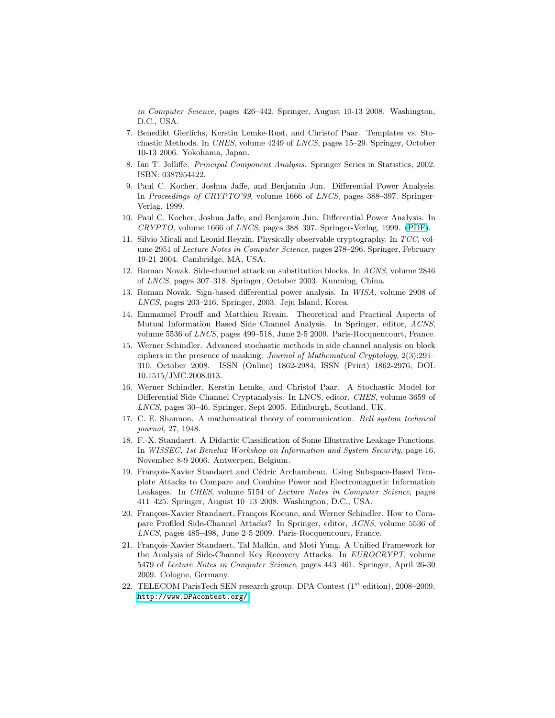in Computer Science, pages 426–442. Springer, August 10-13 2008. Washington, D.C., USA.

- <span id="page-19-5"></span>7. Benedikt Gierlichs, Kerstin Lemke-Rust, and Christof Paar. Templates vs. Stochastic Methods. In CHES, volume 4249 of LNCS, pages 15–29. Springer, October 10-13 2006. Yokohama, Japan.
- <span id="page-19-8"></span><span id="page-19-4"></span>8. Ian T. Jolliffe. Principal Component Analysis. Springer Series in Statistics, 2002. ISBN: 0387954422.
- 9. Paul C. Kocher, Joshua Jaffe, and Benjamin Jun. Differential Power Analysis. In Proceedings of CRYPTO'99, volume 1666 of LNCS, pages 388–397. Springer-Verlag, 1999.
- <span id="page-19-9"></span>10. Paul C. Kocher, Joshua Jaffe, and Benjamin Jun. Differential Power Analysis. In CRYPTO, volume 1666 of LNCS, pages 388–397. Springer-Verlag, 1999. [\(PDF\)](http://www.cryptography.com/resources/whitepapers/DPA.pdf).
- <span id="page-19-0"></span>11. Silvio Micali and Leonid Reyzin. Physically observable cryptography. In TCC, volume 2951 of Lecture Notes in Computer Science, pages 278–296. Springer, February 19-21 2004. Cambridge, MA, USA.
- <span id="page-19-12"></span><span id="page-19-11"></span>12. Roman Novak. Side-channel attack on substitution blocks. In ACNS, volume 2846 of LNCS, pages 307–318. Springer, October 2003. Kunming, China.
- <span id="page-19-10"></span>13. Roman Novak. Sign-based differential power analysis. In WISA, volume 2908 of LNCS, pages 203–216. Springer, 2003. Jeju Island, Korea.
- 14. Emmanuel Prouff and Matthieu Rivain. Theoretical and Practical Aspects of Mutual Information Based Side Channel Analysis. In Springer, editor, ACNS, volume 5536 of LNCS, pages 499–518, June 2-5 2009. Paris-Rocquencourt, France.
- <span id="page-19-7"></span>15. Werner Schindler. Advanced stochastic methods in side channel analysis on block ciphers in the presence of masking. Journal of Mathematical Cryptology, 2(3):291– 310, October 2008. ISSN (Online) 1862-2984, ISSN (Print) 1862-2976, DOI: 10.1515/JMC.2008.013.
- <span id="page-19-6"></span>16. Werner Schindler, Kerstin Lemke, and Christof Paar. A Stochastic Model for Differential Side Channel Cryptanalysis. In LNCS, editor, CHES, volume 3659 of LNCS, pages 30–46. Springer, Sept 2005. Edinburgh, Scotland, UK.
- <span id="page-19-3"></span>17. C. E. Shannon. A mathematical theory of communication. Bell system technical journal, 27, 1948.
- <span id="page-19-13"></span>18. F.-X. Standaert. A Didactic Classification of Some Illustrative Leakage Functions. In WISSEC, 1st Benelux Workshop on Information and System Security, page 16, November 8-9 2006. Antwerpen, Belgium.
- <span id="page-19-15"></span>19. François-Xavier Standaert and Cédric Archambeau. Using Subspace-Based Template Attacks to Compare and Combine Power and Electromagnetic Information Leakages. In CHES, volume 5154 of Lecture Notes in Computer Science, pages 411–425. Springer, August 10–13 2008. Washington, D.C., USA.
- <span id="page-19-2"></span>20. François-Xavier Standaert, François Koeune, and Werner Schindler. How to Compare Profiled Side-Channel Attacks? In Springer, editor, ACNS, volume 5536 of LNCS, pages 485–498, June 2-5 2009. Paris-Rocquencourt, France.
- <span id="page-19-1"></span>21. François-Xavier Standaert, Tal Malkin, and Moti Yung. A Unified Framework for the Analysis of Side-Channel Key Recovery Attacks. In EUROCRYPT, volume 5479 of Lecture Notes in Computer Science, pages 443–461. Springer, April 26-30 2009. Cologne, Germany.
- <span id="page-19-14"></span>22. TELECOM ParisTech SEN research group. DPA Contest (1<sup>st</sup> edition), 2008–2009. <http://www.DPAcontest.org/>.